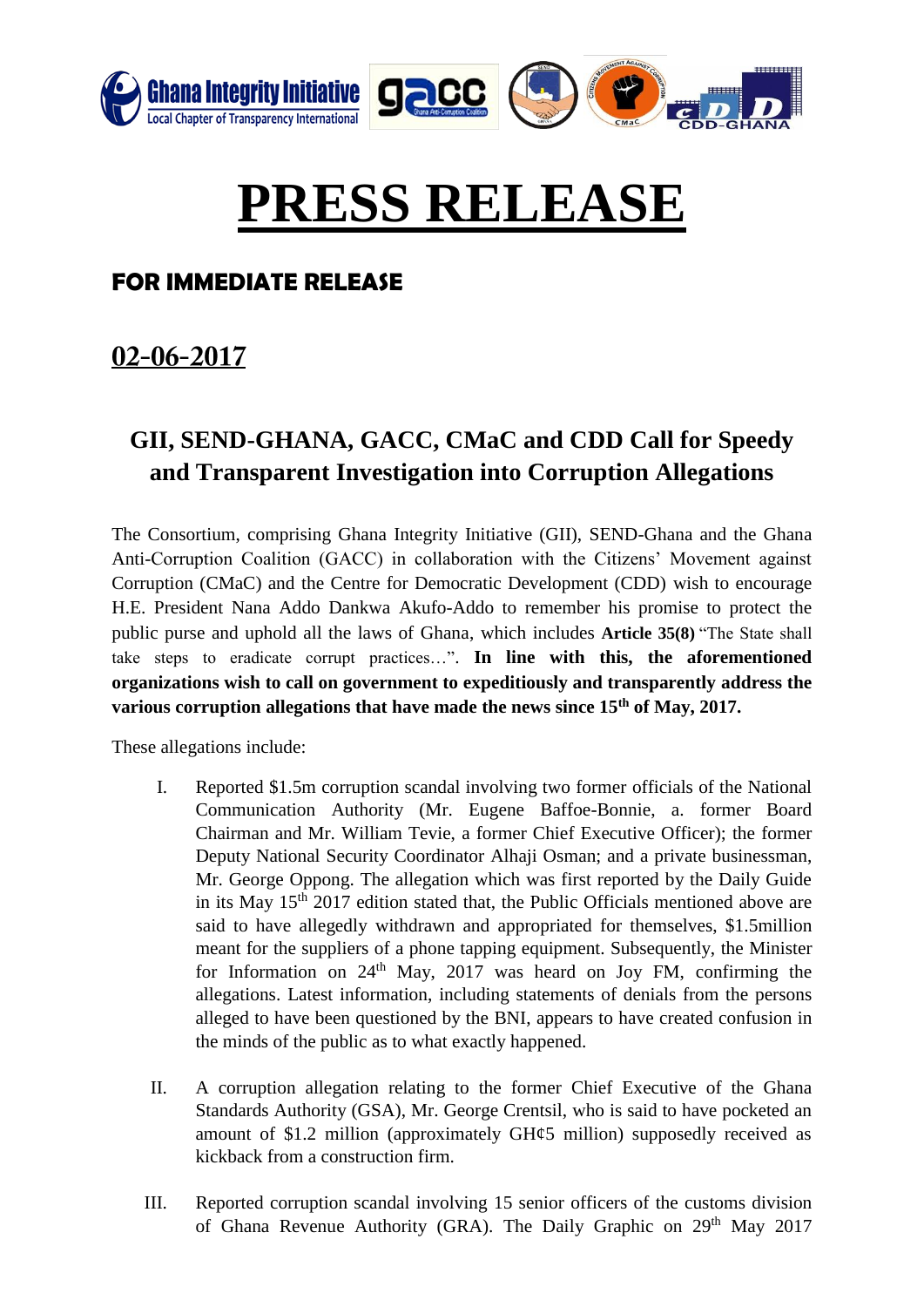

# **PRESS RELEASE**

#### **FOR IMMEDIATE RELEASE**

## $02 - 06 - 2017$

### **GII, SEND-GHANA, GACC, CMaC and CDD Call for Speedy and Transparent Investigation into Corruption Allegations**

The Consortium, comprising Ghana Integrity Initiative (GII), SEND-Ghana and the Ghana Anti-Corruption Coalition (GACC) in collaboration with the Citizens' Movement against Corruption (CMaC) and the Centre for Democratic Development (CDD) wish to encourage H.E. President Nana Addo Dankwa Akufo-Addo to remember his promise to protect the public purse and uphold all the laws of Ghana, which includes **Article 35(8)** "The State shall take steps to eradicate corrupt practices…". **In line with this, the aforementioned organizations wish to call on government to expeditiously and transparently address the various corruption allegations that have made the news since 15th of May, 2017.** 

These allegations include:

- I. Reported \$1.5m corruption scandal involving two former officials of the National Communication Authority (Mr. Eugene Baffoe-Bonnie, a. former Board Chairman and Mr. William Tevie, a former Chief Executive Officer); the former Deputy National Security Coordinator Alhaji Osman; and a private businessman, Mr. George Oppong. The allegation which was first reported by the Daily Guide in its May 15<sup>th</sup> 2017 edition stated that, the Public Officials mentioned above are said to have allegedly withdrawn and appropriated for themselves, \$1.5million meant for the suppliers of a phone tapping equipment. Subsequently, the Minister for Information on  $24<sup>th</sup>$  May, 2017 was heard on Joy FM, confirming the allegations. Latest information, including statements of denials from the persons alleged to have been questioned by the BNI, appears to have created confusion in the minds of the public as to what exactly happened.
- II. A corruption allegation relating to the former Chief Executive of the Ghana Standards Authority (GSA), Mr. George Crentsil, who is said to have pocketed an amount of \$1.2 million (approximately GH¢5 million) supposedly received as kickback from a construction firm.
- III. Reported corruption scandal involving 15 senior officers of the customs division of Ghana Revenue Authority (GRA). The Daily Graphic on 29<sup>th</sup> May 2017